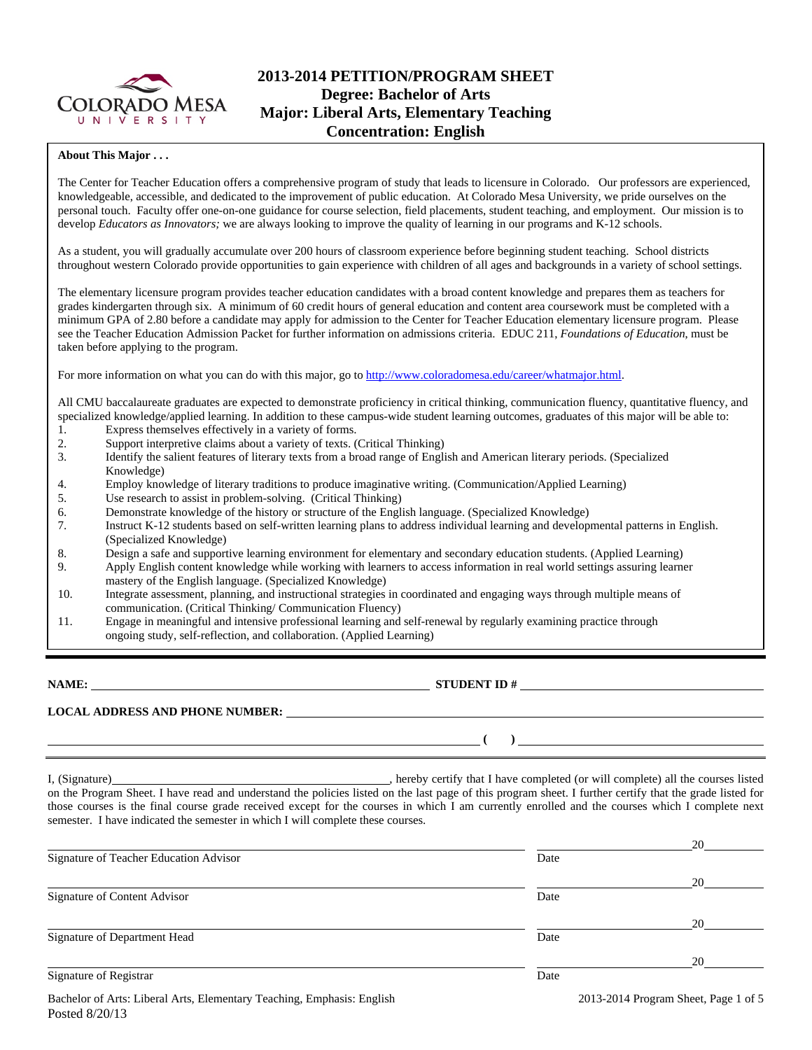

## **2013-2014 PETITION/PROGRAM SHEET Degree: Bachelor of Arts Major: Liberal Arts, Elementary Teaching Concentration: English**

#### **About This Major . . .**

The Center for Teacher Education offers a comprehensive program of study that leads to licensure in Colorado. Our professors are experienced, knowledgeable, accessible, and dedicated to the improvement of public education. At Colorado Mesa University, we pride ourselves on the personal touch. Faculty offer one-on-one guidance for course selection, field placements, student teaching, and employment. Our mission is to develop *Educators as Innovators;* we are always looking to improve the quality of learning in our programs and K-12 schools.

As a student, you will gradually accumulate over 200 hours of classroom experience before beginning student teaching. School districts throughout western Colorado provide opportunities to gain experience with children of all ages and backgrounds in a variety of school settings.

The elementary licensure program provides teacher education candidates with a broad content knowledge and prepares them as teachers for grades kindergarten through six. A minimum of 60 credit hours of general education and content area coursework must be completed with a minimum GPA of 2.80 before a candidate may apply for admission to the Center for Teacher Education elementary licensure program. Please see the Teacher Education Admission Packet for further information on admissions criteria. EDUC 211, *Foundations of Education*, must be taken before applying to the program.

For more information on what you can do with this major, go to http://www.coloradomesa.edu/career/whatmajor.html.

All CMU baccalaureate graduates are expected to demonstrate proficiency in critical thinking, communication fluency, quantitative fluency, and specialized knowledge/applied learning. In addition to these campus-wide student learning outcomes, graduates of this major will be able to:

- 1. Express themselves effectively in a variety of forms.
- 2. Support interpretive claims about a variety of texts. (Critical Thinking)
- 3. Identify the salient features of literary texts from a broad range of English and American literary periods. (Specialized Knowledge)
- 4. Employ knowledge of literary traditions to produce imaginative writing. (Communication/Applied Learning)
- 5. Use research to assist in problem-solving. (Critical Thinking)
- 6. Demonstrate knowledge of the history or structure of the English language. (Specialized Knowledge)
- 7. Instruct K-12 students based on self-written learning plans to address individual learning and developmental patterns in English. (Specialized Knowledge)
- 8. Design a safe and supportive learning environment for elementary and secondary education students. (Applied Learning)
- 9. Apply English content knowledge while working with learners to access information in real world settings assuring learner mastery of the English language. (Specialized Knowledge)
- 10. Integrate assessment, planning, and instructional strategies in coordinated and engaging ways through multiple means of communication. (Critical Thinking/ Communication Fluency)
- 11. Engage in meaningful and intensive professional learning and self-renewal by regularly examining practice through ongoing study, self-reflection, and collaboration. (Applied Learning)

**NAME: STUDENT ID #** 

**LOCAL ADDRESS AND PHONE NUMBER:**

 **( )** 

I, (Signature) , hereby certify that I have completed (or will complete) all the courses listed on the Program Sheet. I have read and understand the policies listed on the last page of this program sheet. I further certify that the grade listed for those courses is the final course grade received except for the courses in which I am currently enrolled and the courses which I complete next semester. I have indicated the semester in which I will complete these courses.

|                                                                        |      | 20                                   |
|------------------------------------------------------------------------|------|--------------------------------------|
| Signature of Teacher Education Advisor                                 | Date |                                      |
|                                                                        |      | 20                                   |
| Signature of Content Advisor                                           | Date |                                      |
|                                                                        |      | 20                                   |
| Signature of Department Head                                           | Date |                                      |
|                                                                        |      | 20                                   |
| Signature of Registrar                                                 | Date |                                      |
| Bachelor of Arts: Liberal Arts, Elementary Teaching, Emphasis: English |      | 2013-2014 Program Sheet, Page 1 of 5 |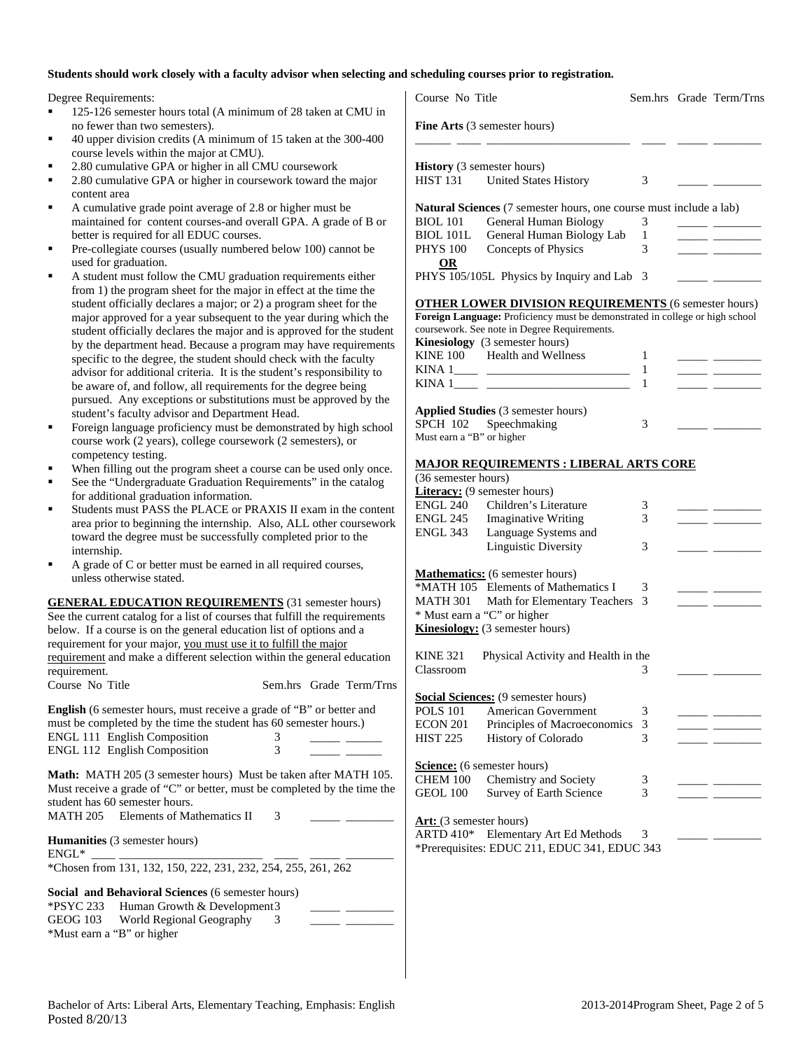#### **Students should work closely with a faculty advisor when selecting and scheduling courses prior to registration.**

Degree Requirements:

- 125-126 semester hours total (A minimum of 28 taken at CMU in no fewer than two semesters).
- 40 upper division credits (A minimum of 15 taken at the 300-400 course levels within the major at CMU).
- 2.80 cumulative GPA or higher in all CMU coursework
- 2.80 cumulative GPA or higher in coursework toward the major content area
- A cumulative grade point average of 2.8 or higher must be maintained for content courses-and overall GPA. A grade of B or better is required for all EDUC courses.
- Pre-collegiate courses (usually numbered below 100) cannot be used for graduation.
- A student must follow the CMU graduation requirements either from 1) the program sheet for the major in effect at the time the student officially declares a major; or 2) a program sheet for the major approved for a year subsequent to the year during which the student officially declares the major and is approved for the student by the department head. Because a program may have requirements specific to the degree, the student should check with the faculty advisor for additional criteria. It is the student's responsibility to be aware of, and follow, all requirements for the degree being pursued. Any exceptions or substitutions must be approved by the student's faculty advisor and Department Head.
- Foreign language proficiency must be demonstrated by high school course work (2 years), college coursework (2 semesters), or competency testing.
- When filling out the program sheet a course can be used only once.
- See the "Undergraduate Graduation Requirements" in the catalog for additional graduation information.
- Students must PASS the PLACE or PRAXIS II exam in the content area prior to beginning the internship. Also, ALL other coursework toward the degree must be successfully completed prior to the internship.
- A grade of C or better must be earned in all required courses, unless otherwise stated.

| <b>GENERAL EDUCATION REQUIREMENTS (31 semester hours)</b>                   |  |                         |
|-----------------------------------------------------------------------------|--|-------------------------|
| See the current catalog for a list of courses that fulfill the requirements |  |                         |
| below. If a course is on the general education list of options and a        |  |                         |
| requirement for your major, you must use it to fulfill the major            |  |                         |
| requirement and make a different selection within the general education     |  |                         |
| requirement.                                                                |  |                         |
| Course No Title                                                             |  | Sem.hrs Grade Term/Trns |

**English** (6 semester hours, must receive a grade of "B" or better and must be completed by the time the student has 60 semester hours.) ENGL 111 English Composition 3 \_\_\_\_\_ \_\_\_\_\_\_ ENGL 112 English Composition 3 \_\_\_\_\_ \_\_\_\_\_\_

**Math:** MATH 205 (3 semester hours) Must be taken after MATH 105. Must receive a grade of "C" or better, must be completed by the time the student has 60 semester hours. MATH 205 Elements of Mathematics II 3

**Humanities** (3 semester hours)

 $ENGL^*$ \*Chosen from 131, 132, 150, 222, 231, 232, 254, 255, 261, 262

**Social and Behavioral Sciences (6 semester hours)**<br>\*DSVC 222 **Human Growth & Dovelopment**2  $H_{\text{umon}}$  Growth & Development

|          | $\sim$ PS TC 255 Human Growth & Developments |  |  |
|----------|----------------------------------------------|--|--|
| GEOG 103 | World Regional Geography                     |  |  |
|          | *Must earn a "B" or higher                   |  |  |

| Course No Title                                                                                                                             |         | Sem.hrs Grade Term/Trns                               |
|---------------------------------------------------------------------------------------------------------------------------------------------|---------|-------------------------------------------------------|
| <b>Fine Arts</b> (3 semester hours)                                                                                                         |         |                                                       |
| <b>History</b> (3 semester hours)<br>HIST 131 United States History                                                                         | 3       |                                                       |
| <b>Natural Sciences</b> (7 semester hours, one course must include a lab)                                                                   |         |                                                       |
| <b>General Human Biology</b><br><b>BIOL</b> 101<br>BIOL 101L General Human Biology Lab                                                      | 3<br>1  |                                                       |
| <b>PHYS 100</b><br>Concepts of Physics                                                                                                      | 3       | <u> 1989 - John Barn Barn, amerikansk politiker (</u> |
| <b>OR</b><br>PHYS 105/105L Physics by Inquiry and Lab                                                                                       | 3       |                                                       |
|                                                                                                                                             |         |                                                       |
| <b>OTHER LOWER DIVISION REQUIREMENTS (6 semester hours)</b><br>Foreign Language: Proficiency must be demonstrated in college or high school |         |                                                       |
| coursework. See note in Degree Requirements.                                                                                                |         |                                                       |
| Kinesiology (3 semester hours)                                                                                                              |         |                                                       |
| KINE 100 Health and Wellness                                                                                                                | 1<br>-1 |                                                       |
|                                                                                                                                             | 1       |                                                       |
|                                                                                                                                             |         |                                                       |
| Applied Studies (3 semester hours)                                                                                                          |         |                                                       |
| SPCH 102 Speechmaking<br>Must earn a "B" or higher                                                                                          | 3       |                                                       |
|                                                                                                                                             |         |                                                       |
| <b>MAJOR REQUIREMENTS : LIBERAL ARTS CORE</b>                                                                                               |         |                                                       |
| (36 semester hours)                                                                                                                         |         |                                                       |
| <b>Literacy:</b> (9 semester hours)<br>ENGL 240 Children's Literature                                                                       | 3       |                                                       |
| ENGL 245 Imaginative Writing                                                                                                                | 3       |                                                       |
| ENGL 343 Language Systems and                                                                                                               |         |                                                       |
| <b>Linguistic Diversity</b>                                                                                                                 | 3       |                                                       |
| <b>Mathematics:</b> (6 semester hours)                                                                                                      |         |                                                       |
| *MATH 105 Elements of Mathematics I                                                                                                         | 3       |                                                       |
| MATH 301 Math for Elementary Teachers                                                                                                       | 3       |                                                       |
| * Must earn a "C" or higher                                                                                                                 |         |                                                       |
| <b>Kinesiology:</b> (3 semester hours)                                                                                                      |         |                                                       |
| <b>KINE 321</b><br>Physical Activity and Health in the                                                                                      |         |                                                       |
| Classroom                                                                                                                                   | 3       |                                                       |
| <b>Social Sciences:</b> (9 semester hours)                                                                                                  |         |                                                       |
| <b>American Government</b><br><b>POLS 101</b>                                                                                               | 3       |                                                       |
| <b>ECON 201</b><br>Principles of Macroeconomics                                                                                             | 3       |                                                       |
| History of Colorado<br><b>HIST 225</b>                                                                                                      | 3       |                                                       |
|                                                                                                                                             |         |                                                       |
| Science: (6 semester hours)<br>Chemistry and Society<br>CHEM 100                                                                            |         |                                                       |
| <b>GEOL 100</b><br>Survey of Earth Science                                                                                                  | 3<br>3  |                                                       |
|                                                                                                                                             |         |                                                       |
| Art: (3 semester hours)                                                                                                                     |         |                                                       |
| Elementary Art Ed Methods<br><b>ARTD 410*</b>                                                                                               | 3       |                                                       |
| *Prerequisites: EDUC 211, EDUC 341, EDUC 343                                                                                                |         |                                                       |
|                                                                                                                                             |         |                                                       |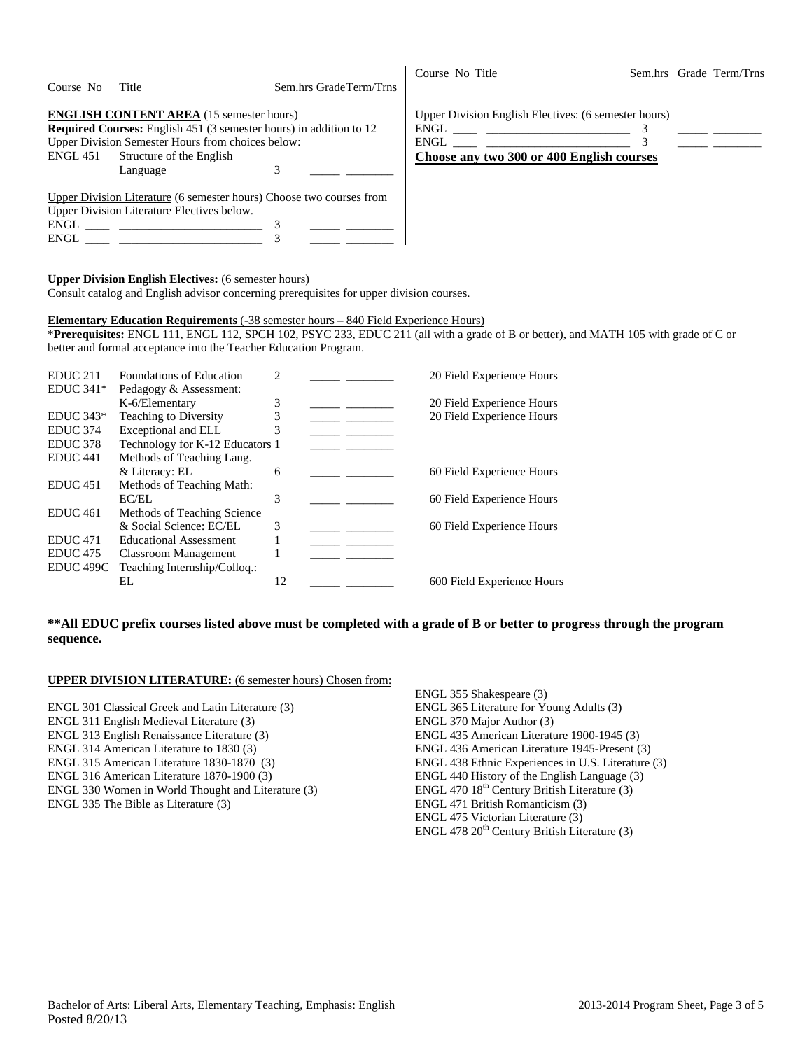| Course No | Title                                                                                                                                                                                                                                                                                                                                                | Sem.hrs Grade Term/Trns | Course No Title                                                                                   |  | Sem.hrs Grade Term/Trns |
|-----------|------------------------------------------------------------------------------------------------------------------------------------------------------------------------------------------------------------------------------------------------------------------------------------------------------------------------------------------------------|-------------------------|---------------------------------------------------------------------------------------------------|--|-------------------------|
|           | <b>ENGLISH CONTENT AREA</b> (15 semester hours)<br><b>Required Courses:</b> English 451 (3 semester hours) in addition to 12<br>Upper Division Semester Hours from choices below:<br>ENGL 451 Structure of the English<br>Language                                                                                                                   | 3                       | Upper Division English Electives: (6 semester hours)<br>Choose any two 300 or 400 English courses |  |                         |
|           | Upper Division Literature (6 semester hours) Choose two courses from<br>Upper Division Literature Electives below.<br>$ENGL$ and $I$ and $I$ and $I$ and $I$ and $I$ and $I$ and $I$ and $I$ and $I$ and $I$ and $I$ and $I$ and $I$ and $I$ and $I$ and $I$ and $I$ and $I$ and $I$ and $I$ and $I$ and $I$ and $I$ and $I$ and $I$ and $I$ and $I$ |                         |                                                                                                   |  |                         |

#### **Upper Division English Electives:** (6 semester hours)

Consult catalog and English advisor concerning prerequisites for upper division courses.

### **Elementary Education Requirements** (-38 semester hours – 840 Field Experience Hours)

\***Prerequisites:** ENGL 111, ENGL 112, SPCH 102, PSYC 233, EDUC 211 (all with a grade of B or better), and MATH 105 with grade of C or better and formal acceptance into the Teacher Education Program.

| EDUC <sub>211</sub> | Foundations of Education        | 2  |  | 20 Field Experience Hours  |
|---------------------|---------------------------------|----|--|----------------------------|
| EDUC $341*$         | Pedagogy & Assessment:          |    |  |                            |
|                     | K-6/Elementary                  | 3  |  | 20 Field Experience Hours  |
| $EDUC 343*$         | <b>Teaching to Diversity</b>    | 3  |  | 20 Field Experience Hours  |
| <b>EDUC</b> 374     | Exceptional and ELL             | 3  |  |                            |
| EDUC 378            | Technology for K-12 Educators 1 |    |  |                            |
| EDUC <sub>441</sub> | Methods of Teaching Lang.       |    |  |                            |
|                     | & Literacy: EL                  | 6  |  | 60 Field Experience Hours  |
| EDUC <sub>451</sub> | Methods of Teaching Math:       |    |  |                            |
|                     | EC/EL                           | 3  |  | 60 Field Experience Hours  |
| EDUC <sub>461</sub> | Methods of Teaching Science     |    |  |                            |
|                     | & Social Science: EC/EL         | 3  |  | 60 Field Experience Hours  |
| <b>EDUC</b> 471     | <b>Educational Assessment</b>   |    |  |                            |
| EDUC <sub>475</sub> | Classroom Management            |    |  |                            |
| EDUC 499C           | Teaching Internship/Collog.:    |    |  |                            |
|                     | EL.                             | 12 |  | 600 Field Experience Hours |
|                     |                                 |    |  |                            |

### **\*\*All EDUC prefix courses listed above must be completed with a grade of B or better to progress through the program sequence.**

### **UPPER DIVISION LITERATURE:** (6 semester hours) Chosen from:

- ENGL 301 Classical Greek and Latin Literature (3)
- ENGL 311 English Medieval Literature (3)
- ENGL 313 English Renaissance Literature (3)
- ENGL 314 American Literature to 1830 (3)
- ENGL 315 American Literature 1830-1870 (3)
- ENGL 316 American Literature 1870-1900 (3)
- ENGL 330 Women in World Thought and Literature (3)
- ENGL 335 The Bible as Literature (3)

ENGL 355 Shakespeare (3) ENGL 365 Literature for Young Adults (3) ENGL 370 Major Author (3) ENGL 435 American Literature 1900-1945 (3) ENGL 436 American Literature 1945-Present (3) ENGL 438 Ethnic Experiences in U.S. Literature (3) ENGL 440 History of the English Language (3) ENGL 470  $18^{th}$  Century British Literature (3) ENGL 471 British Romanticism (3) ENGL 475 Victorian Literature (3) ENGL 478  $20<sup>th</sup>$  Century British Literature (3)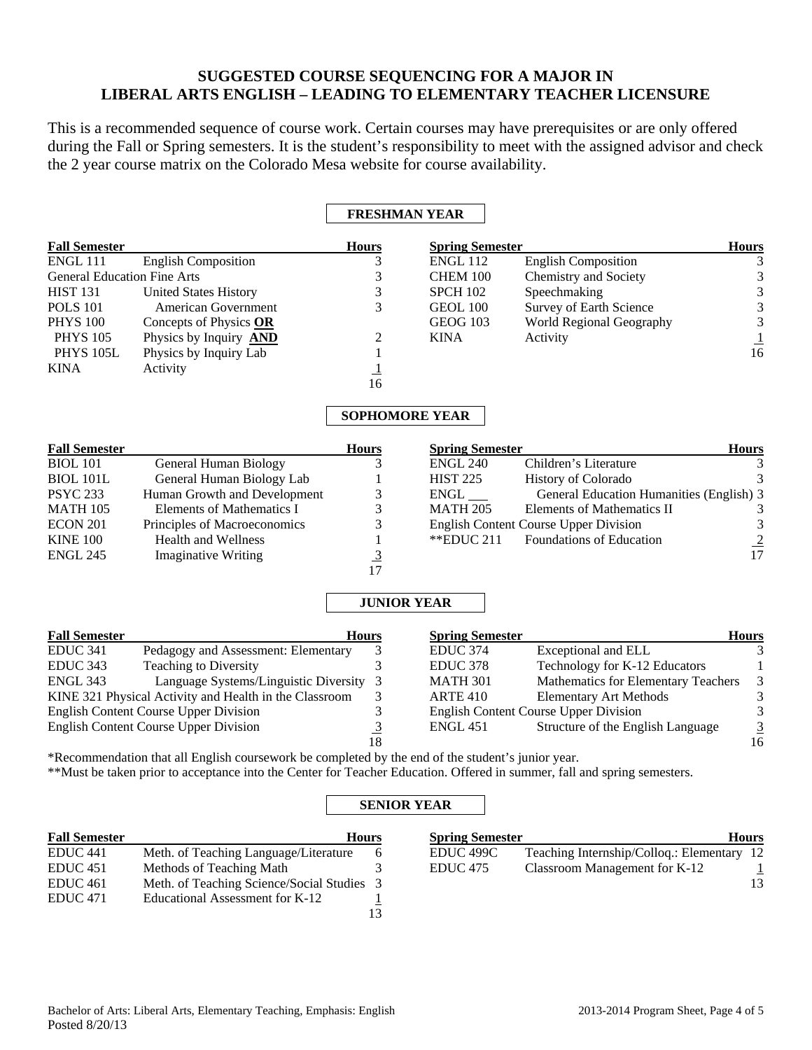# **SUGGESTED COURSE SEQUENCING FOR A MAJOR IN LIBERAL ARTS ENGLISH – LEADING TO ELEMENTARY TEACHER LICENSURE**

This is a recommended sequence of course work. Certain courses may have prerequisites or are only offered during the Fall or Spring semesters. It is the student's responsibility to meet with the assigned advisor and check the 2 year course matrix on the Colorado Mesa website for course availability.

|                                    |                                                        |                                                    | <b>FRESHMAN YEAR</b>   |                                              |                                            |
|------------------------------------|--------------------------------------------------------|----------------------------------------------------|------------------------|----------------------------------------------|--------------------------------------------|
| <b>Fall Semester</b>               |                                                        | <b>Hours</b>                                       | <b>Spring Semester</b> |                                              | <b>Hours</b>                               |
| ENGL 111                           | <b>English Composition</b>                             | 3                                                  | <b>ENGL 112</b>        | <b>English Composition</b>                   | 3                                          |
| <b>General Education Fine Arts</b> |                                                        | 3                                                  | CHEM 100               | Chemistry and Society                        | $\sqrt{3}$                                 |
| <b>HIST 131</b>                    | <b>United States History</b>                           | $\overline{\mathbf{3}}$                            | <b>SPCH 102</b>        | Speechmaking                                 |                                            |
| <b>POLS 101</b>                    | <b>American Government</b>                             | $\overline{3}$                                     | <b>GEOL 100</b>        | Survey of Earth Science                      | $\begin{array}{c} 3 \\ 3 \\ 3 \end{array}$ |
| <b>PHYS 100</b>                    | Concepts of Physics OR                                 |                                                    | <b>GEOG 103</b>        | World Regional Geography                     |                                            |
| <b>PHYS 105</b>                    | Physics by Inquiry <b>AND</b>                          | 2                                                  | <b>KINA</b>            | Activity                                     | $\frac{1}{16}$                             |
| <b>PHYS 105L</b>                   | Physics by Inquiry Lab                                 |                                                    |                        |                                              |                                            |
| KINA                               | Activity                                               |                                                    |                        |                                              |                                            |
|                                    |                                                        | $\frac{1}{16}$                                     |                        |                                              |                                            |
|                                    |                                                        |                                                    | <b>SOPHOMORE YEAR</b>  |                                              |                                            |
| <b>Fall Semester</b>               |                                                        | <b>Hours</b>                                       | <b>Spring Semester</b> |                                              | <b>Hours</b>                               |
| <b>BIOL 101</b>                    | <b>General Human Biology</b>                           | 3                                                  | <b>ENGL 240</b>        | Children's Literature                        | 3                                          |
| BIOL 101L                          | General Human Biology Lab                              |                                                    | <b>HIST 225</b>        | History of Colorado                          | 3                                          |
| <b>PSYC 233</b>                    | Human Growth and Development                           | 3                                                  | ENGL                   | General Education Humanities (English) 3     |                                            |
| MATH 105                           | <b>Elements of Mathematics I</b>                       | 3                                                  | <b>MATH 205</b>        | Elements of Mathematics II                   | 3                                          |
| ECON 201                           | Principles of Macroeconomics                           | 3                                                  |                        | <b>English Content Course Upper Division</b> | $\mathfrak{Z}$                             |
| <b>KINE 100</b>                    | <b>Health and Wellness</b>                             | $\mathbf{1}$                                       | **EDUC 211             | <b>Foundations of Education</b>              | $\frac{2}{17}$                             |
| <b>ENGL 245</b>                    | <b>Imaginative Writing</b>                             | $\frac{3}{17}$                                     |                        |                                              |                                            |
|                                    |                                                        |                                                    |                        |                                              |                                            |
|                                    |                                                        |                                                    | <b>JUNIOR YEAR</b>     |                                              |                                            |
| <b>Fall Semester</b>               |                                                        | <b>Hours</b>                                       | <b>Spring Semester</b> |                                              | <b>Hours</b>                               |
| <b>EDUC 341</b>                    | Pedagogy and Assessment: Elementary                    | 3                                                  | <b>EDUC 374</b>        | Exceptional and ELL                          | 3                                          |
| EDUC 343                           | <b>Teaching to Diversity</b>                           | 3                                                  | EDUC <sub>378</sub>    | Technology for K-12 Educators                | 1                                          |
| ENGL 343                           | Language Systems/Linguistic Diversity                  | 3                                                  | <b>MATH 301</b>        | Mathematics for Elementary Teachers          |                                            |
|                                    | KINE 321 Physical Activity and Health in the Classroom | 3                                                  | <b>ARTE 410</b>        | <b>Elementary Art Methods</b>                | $\frac{3}{3}$                              |
|                                    | <b>English Content Course Upper Division</b>           |                                                    |                        | <b>English Content Course Upper Division</b> | $\sqrt{3}$                                 |
|                                    | <b>English Content Course Upper Division</b>           | $\begin{array}{c} 3 \\ 3 \\ \hline 18 \end{array}$ | <b>ENGL 451</b>        | Structure of the English Language            | $\frac{3}{16}$                             |
|                                    |                                                        |                                                    |                        |                                              |                                            |

\*Recommendation that all English coursework be completed by the end of the student's junior year. \*\*Must be taken prior to acceptance into the Center for Teacher Education. Offered in summer, fall and spring semesters.

## **SENIOR YEAR**

| <b>Fall Semester</b> |                                            | <b>Hours</b> | <b>Spring Semester</b> | <b>Hours</b>                               |  |
|----------------------|--------------------------------------------|--------------|------------------------|--------------------------------------------|--|
| EDUC <sub>441</sub>  | Meth. of Teaching Language/Literature      |              | EDUC 499C              | Teaching Internship/Colloq.: Elementary 12 |  |
| EDUC 451             | Methods of Teaching Math                   |              | EDUC <sub>475</sub>    | Classroom Management for K-12              |  |
| EDUC 461             | Meth. of Teaching Science/Social Studies 3 |              |                        | 13                                         |  |
| <b>EDUC</b> 471      | Educational Assessment for K-12            |              |                        |                                            |  |
|                      |                                            | 13           |                        |                                            |  |